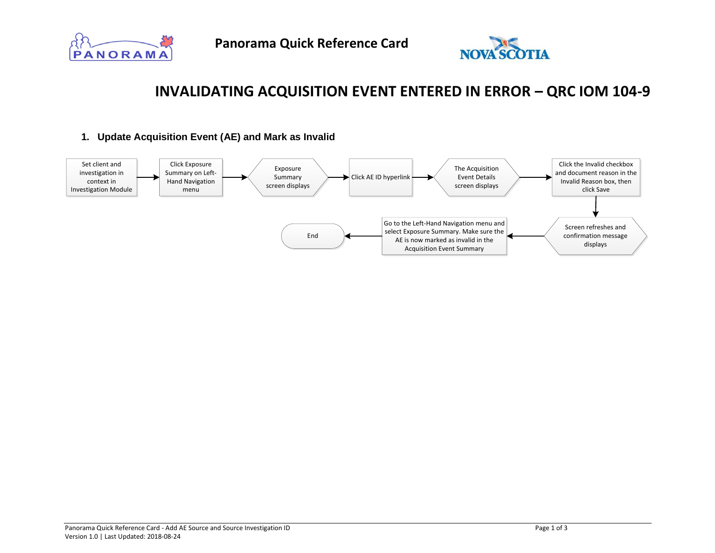



# **INVALIDATING ACQUISITION EVENT ENTERED IN ERROR – QRC IOM 104-9**

## **1. Update Acquisition Event (AE) and Mark as Invalid**

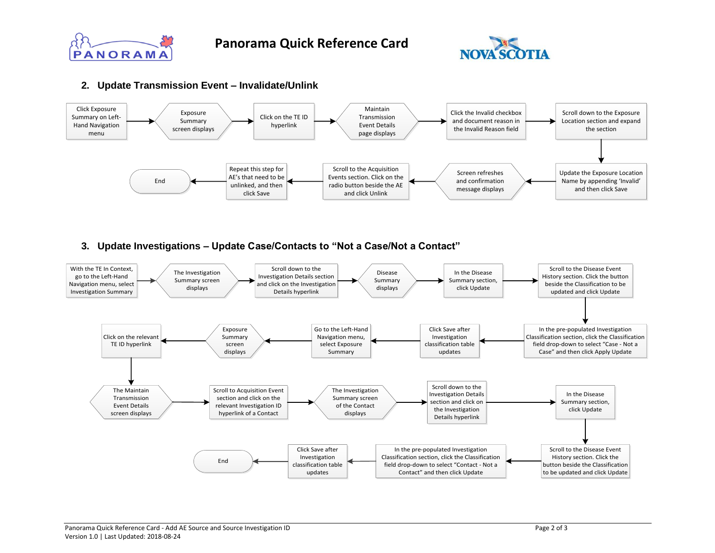



#### **2. Update Transmission Event – Invalidate/Unlink**



## **3. Update Investigations – Update Case/Contacts to "Not a Case/Not a Contact"**